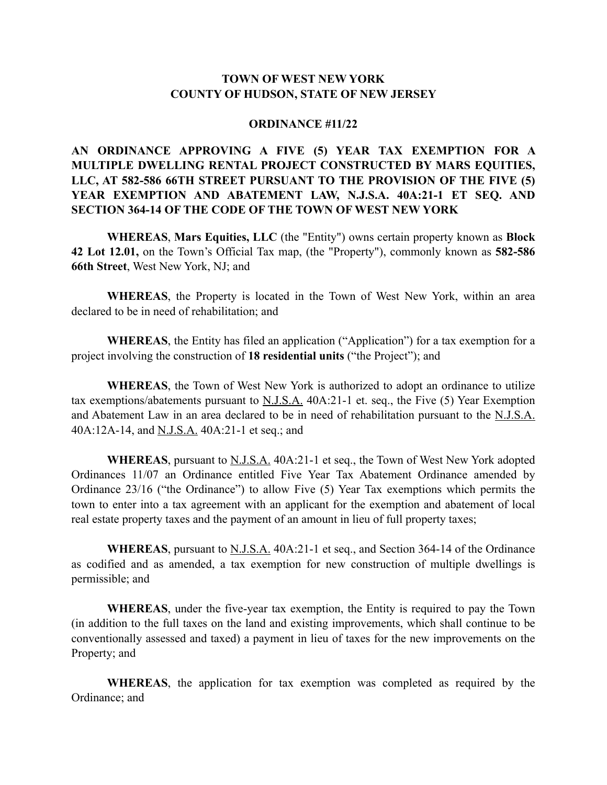## **TOWN OF WEST NEW YORK COUNTY OF HUDSON, STATE OF NEW JERSEY**

#### **ORDINANCE #11/22**

# **AN ORDINANCE APPROVING A FIVE (5) YEAR TAX EXEMPTION FOR A MULTIPLE DWELLING RENTAL PROJECT CONSTRUCTED BY MARS EQUITIES, LLC, AT 582-586 66TH STREET PURSUANT TO THE PROVISION OF THE FIVE (5) YEAR EXEMPTION AND ABATEMENT LAW, N.J.S.A. 40A:21-1 ET SEQ. AND SECTION 364-14 OF THE CODE OF THE TOWN OF WEST NEW YORK**

**WHEREAS**, **Mars Equities, LLC** (the "Entity") owns certain property known as **Block 42 Lot 12.01,** on the Town's Official Tax map, (the "Property"), commonly known as **582-586 66th Street**, West New York, NJ; and

**WHEREAS**, the Property is located in the Town of West New York, within an area declared to be in need of rehabilitation; and

**WHEREAS**, the Entity has filed an application ("Application") for a tax exemption for a project involving the construction of **18 residential units** ("the Project"); and

**WHEREAS**, the Town of West New York is authorized to adopt an ordinance to utilize tax exemptions/abatements pursuant to N.J.S.A. 40A:21-1 et. seq., the Five (5) Year Exemption and Abatement Law in an area declared to be in need of rehabilitation pursuant to the N.J.S.A. 40A:12A-14, and N.J.S.A. 40A:21-1 et seq.; and

**WHEREAS**, pursuant to N.J.S.A. 40A:21-1 et seq., the Town of West New York adopted Ordinances 11/07 an Ordinance entitled Five Year Tax Abatement Ordinance amended by Ordinance 23/16 ("the Ordinance") to allow Five (5) Year Tax exemptions which permits the town to enter into a tax agreement with an applicant for the exemption and abatement of local real estate property taxes and the payment of an amount in lieu of full property taxes;

**WHEREAS**, pursuant to <u>N.J.S.A.</u> 40A:21-1 et seq., and Section 364-14 of the Ordinance as codified and as amended, a tax exemption for new construction of multiple dwellings is permissible; and

**WHEREAS**, under the five-year tax exemption, the Entity is required to pay the Town (in addition to the full taxes on the land and existing improvements, which shall continue to be conventionally assessed and taxed) a payment in lieu of taxes for the new improvements on the Property; and

**WHEREAS**, the application for tax exemption was completed as required by the Ordinance; and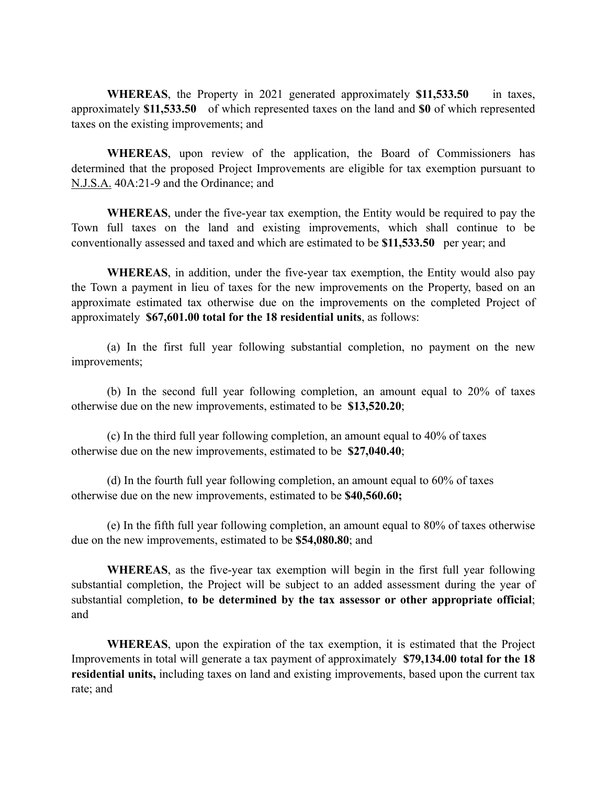**WHEREAS**, the Property in 2021 generated approximately **\$11,533.50** in taxes, approximately **\$11,533.50** of which represented taxes on the land and **\$0** of which represented taxes on the existing improvements; and

**WHEREAS**, upon review of the application, the Board of Commissioners has determined that the proposed Project Improvements are eligible for tax exemption pursuant to N.J.S.A. 40A:21-9 and the Ordinance; and

**WHEREAS**, under the five-year tax exemption, the Entity would be required to pay the Town full taxes on the land and existing improvements, which shall continue to be conventionally assessed and taxed and which are estimated to be **\$11,533.50** per year; and

**WHEREAS**, in addition, under the five-year tax exemption, the Entity would also pay the Town a payment in lieu of taxes for the new improvements on the Property, based on an approximate estimated tax otherwise due on the improvements on the completed Project of approximately **\$67,601.00 total for the 18 residential units**, as follows:

(a) In the first full year following substantial completion, no payment on the new improvements;

(b) In the second full year following completion, an amount equal to 20% of taxes otherwise due on the new improvements, estimated to be **\$13,520.20**;

(c) In the third full year following completion, an amount equal to 40% of taxes otherwise due on the new improvements, estimated to be **\$27,040.40**;

(d) In the fourth full year following completion, an amount equal to 60% of taxes otherwise due on the new improvements, estimated to be **\$40,560.60;** 

(e) In the fifth full year following completion, an amount equal to 80% of taxes otherwise due on the new improvements, estimated to be **\$54,080.80**; and

**WHEREAS**, as the five-year tax exemption will begin in the first full year following substantial completion, the Project will be subject to an added assessment during the year of substantial completion, **to be determined by the tax assessor or other appropriate official**; and

**WHEREAS**, upon the expiration of the tax exemption, it is estimated that the Project Improvements in total will generate a tax payment of approximately **\$79,134.00 total for the 18 residential units,** including taxes on land and existing improvements, based upon the current tax rate; and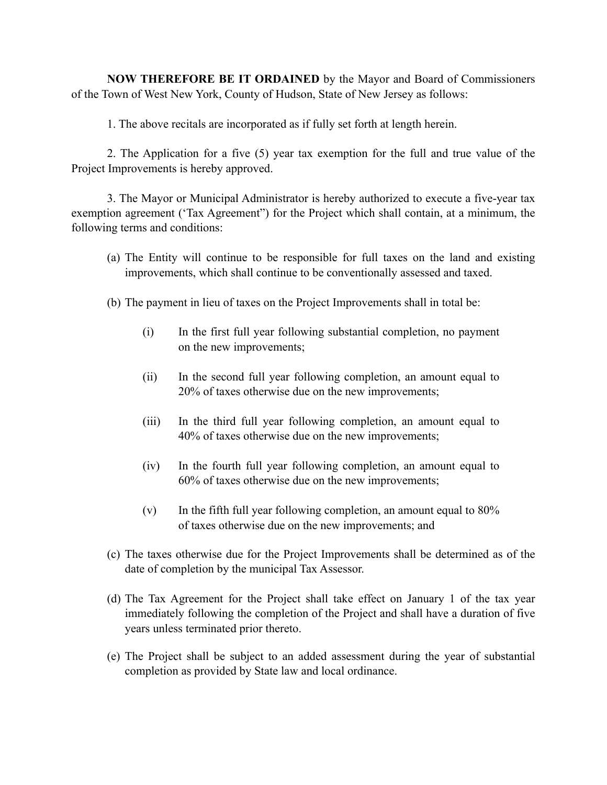**NOW THEREFORE BE IT ORDAINED** by the Mayor and Board of Commissioners of the Town of West New York, County of Hudson, State of New Jersey as follows:

1. The above recitals are incorporated as if fully set forth at length herein.

2. The Application for a five (5) year tax exemption for the full and true value of the Project Improvements is hereby approved.

3. The Mayor or Municipal Administrator is hereby authorized to execute a five-year tax exemption agreement ('Tax Agreement") for the Project which shall contain, at a minimum, the following terms and conditions:

- (a) The Entity will continue to be responsible for full taxes on the land and existing improvements, which shall continue to be conventionally assessed and taxed.
- (b) The payment in lieu of taxes on the Project Improvements shall in total be:
	- (i) In the first full year following substantial completion, no payment on the new improvements;
	- (ii) In the second full year following completion, an amount equal to 20% of taxes otherwise due on the new improvements;
	- (iii) In the third full year following completion, an amount equal to 40% of taxes otherwise due on the new improvements;
	- (iv) In the fourth full year following completion, an amount equal to 60% of taxes otherwise due on the new improvements;
	- $(v)$  In the fifth full year following completion, an amount equal to 80% of taxes otherwise due on the new improvements; and
- (c) The taxes otherwise due for the Project Improvements shall be determined as of the date of completion by the municipal Tax Assessor.
- (d) The Tax Agreement for the Project shall take effect on January 1 of the tax year immediately following the completion of the Project and shall have a duration of five years unless terminated prior thereto.
- (e) The Project shall be subject to an added assessment during the year of substantial completion as provided by State law and local ordinance.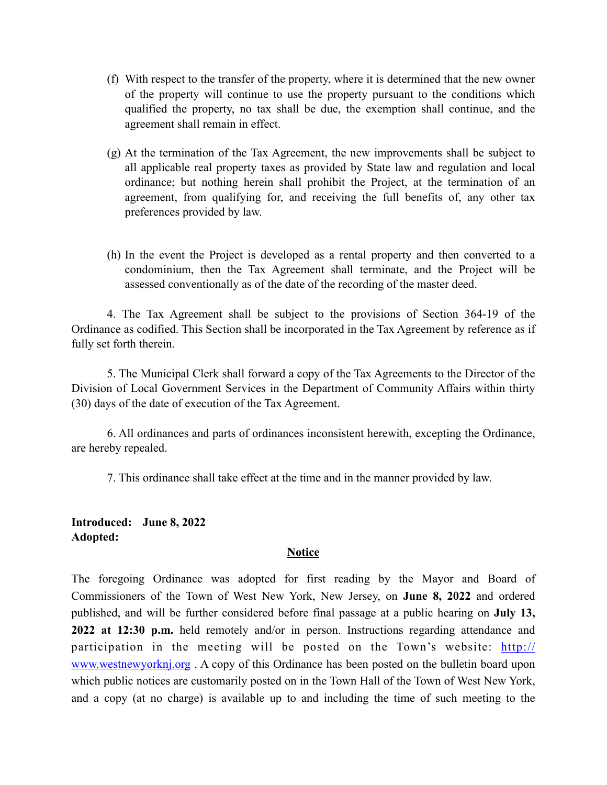- (f) With respect to the transfer of the property, where it is determined that the new owner of the property will continue to use the property pursuant to the conditions which qualified the property, no tax shall be due, the exemption shall continue, and the agreement shall remain in effect.
- (g) At the termination of the Tax Agreement, the new improvements shall be subject to all applicable real property taxes as provided by State law and regulation and local ordinance; but nothing herein shall prohibit the Project, at the termination of an agreement, from qualifying for, and receiving the full benefits of, any other tax preferences provided by law.
- (h) In the event the Project is developed as a rental property and then converted to a condominium, then the Tax Agreement shall terminate, and the Project will be assessed conventionally as of the date of the recording of the master deed.

4. The Tax Agreement shall be subject to the provisions of Section 364-19 of the Ordinance as codified. This Section shall be incorporated in the Tax Agreement by reference as if fully set forth therein.

5. The Municipal Clerk shall forward a copy of the Tax Agreements to the Director of the Division of Local Government Services in the Department of Community Affairs within thirty (30) days of the date of execution of the Tax Agreement.

6. All ordinances and parts of ordinances inconsistent herewith, excepting the Ordinance, are hereby repealed.

7. This ordinance shall take effect at the time and in the manner provided by law.

## **Introduced: June 8, 2022 Adopted:**

### **Notice**

The foregoing Ordinance was adopted for first reading by the Mayor and Board of Commissioners of the Town of West New York, New Jersey, on **June 8, 2022** and ordered published, and will be further considered before final passage at a public hearing on **July 13, 2022 at 12:30 p.m.** held remotely and/or in person. Instructions regarding attendance and participation in the meeting will be posted on the Town's website: [http://](http://www.westnewyorknj.org) [www.westnewyorknj.org](http://www.westnewyorknj.org). A copy of this Ordinance has been posted on the bulletin board upon which public notices are customarily posted on in the Town Hall of the Town of West New York, and a copy (at no charge) is available up to and including the time of such meeting to the